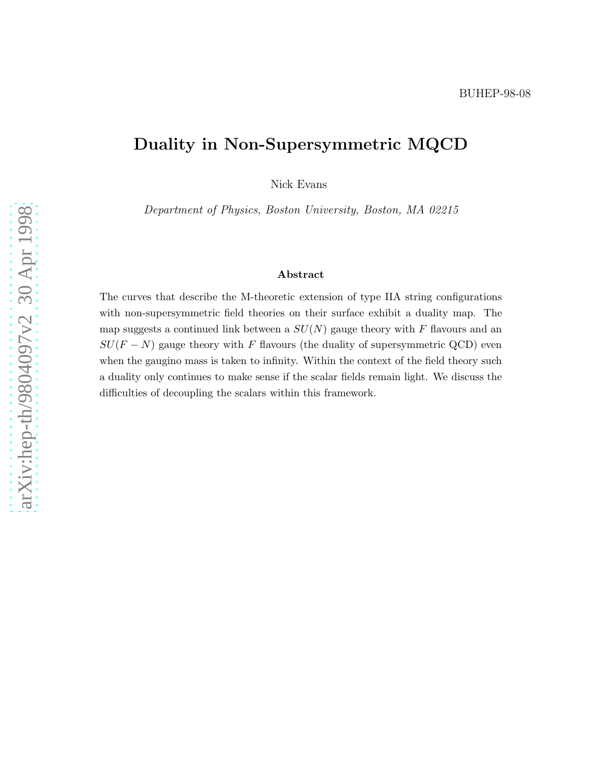# Duality in Non-Supersymmetric MQCD

Nick Evans

Department of Physics, Boston University, Boston, MA 02215

#### Abstract

The curves that describe the M-theoretic extension of type IIA string configurations with non-supersymmetric field theories on their surface exhibit a duality map. The map suggests a continued link between a  $SU(N)$  gauge theory with F flavours and an  $SU(F-N)$  gauge theory with F flavours (the duality of supersymmetric QCD) even when the gaugino mass is taken to infinity. Within the context of the field theory such a duality only continues to make sense if the scalar fields remain light. We discuss the difficulties of decoupling the scalars within this framework.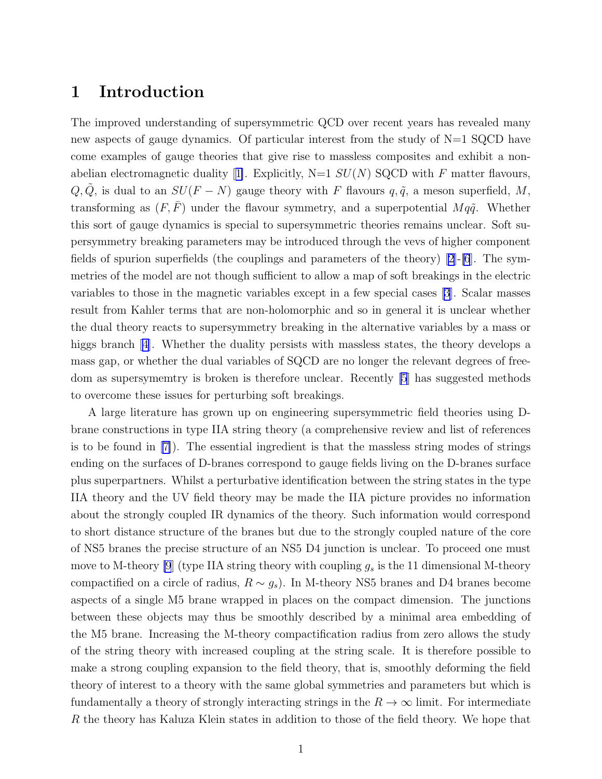#### 1 Introduction

The improved understanding of supersymmetric QCD over recent years has revealed many new aspects of gauge dynamics. Of particular interest from the study of  $N=1$  SQCD have come examples of gauge theories that give rise to massless composites and exhibit a non-abelianelectromagnetic duality [[1\]](#page-12-0). Explicitly,  $N=1$   $SU(N)$  SQCD with F matter flavours,  $Q, \tilde{Q}$ , is dual to an  $SU(F - N)$  gauge theory with F flavours  $q, \tilde{q}$ , a meson superfield, M, transforming as  $(F, \overline{F})$  under the flavour symmetry, and a superpotential  $Mq\tilde{q}$ . Whether this sort of gauge dynamics is special to supersymmetric theories remains unclear. Soft supersymmetry breaking parameters may be introduced through the vevs of higher component fields of spurion superfields (the couplings and parameters of the theory)  $[2]$ -[\[6](#page-12-0)]. The symmetries of the model are not though sufficient to allow a map of soft breakings in the electric variables to those in the magnetic variables except in a few special cases [\[3\]](#page-12-0). Scalar masses result from Kahler terms that are non-holomorphic and so in general it is unclear whether the dual theory reacts to supersymmetry breaking in the alternative variables by a mass or higgs branch [\[4\]](#page-12-0). Whether the duality persists with massless states, the theory develops a mass gap, or whether the dual variables of SQCD are no longer the relevant degrees of freedom as supersymemtry is broken is therefore unclear. Recently [\[5](#page-12-0)] has suggested methods to overcome these issues for perturbing soft breakings.

A large literature has grown up on engineering supersymmetric field theories using Dbrane constructions in type IIA string theory (a comprehensive review and list of references is to be found in[[7\]](#page-13-0)). The essential ingredient is that the massless string modes of strings ending on the surfaces of D-branes correspond to gauge fields living on the D-branes surface plus superpartners. Whilst a perturbative identification between the string states in the type IIA theory and the UV field theory may be made the IIA picture provides no information about the strongly coupled IR dynamics of the theory. Such information would correspond to short distance structure of the branes but due to the strongly coupled nature of the core of NS5 branes the precise structure of an NS5 D4 junction is unclear. To proceed one must move to M-theory [\[9](#page-13-0)] (type IIA string theory with coupling  $g_s$  is the 11 dimensional M-theory compactified on a circle of radius,  $R \sim g_s$ ). In M-theory NS5 branes and D4 branes become aspects of a single M5 brane wrapped in places on the compact dimension. The junctions between these objects may thus be smoothly described by a minimal area embedding of the M5 brane. Increasing the M-theory compactification radius from zero allows the study of the string theory with increased coupling at the string scale. It is therefore possible to make a strong coupling expansion to the field theory, that is, smoothly deforming the field theory of interest to a theory with the same global symmetries and parameters but which is fundamentally a theory of strongly interacting strings in the  $R \to \infty$  limit. For intermediate R the theory has Kaluza Klein states in addition to those of the field theory. We hope that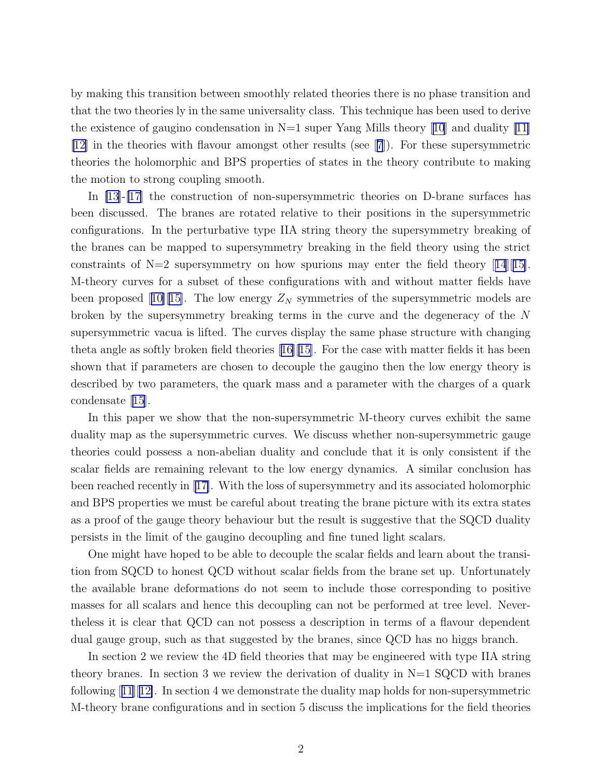by making this transition between smoothly related theories there is no phase transition and that the two theories ly in the same universality class. This technique has been used to derive theexistence of gaugino condensation in  $N=1$  super Yang Mills theory [[10](#page-13-0)] and duality [[11\]](#page-13-0) [\[12\]](#page-13-0) in the theories with flavour amongst other results (see[[7](#page-13-0)]). For these supersymmetric theories the holomorphic and BPS properties of states in the theory contribute to making the motion to strong coupling smooth.

In [\[13\]](#page-13-0)-[\[17](#page-13-0)] the construction of non-supersymmetric theories on D-brane surfaces has been discussed. The branes are rotated relative to their positions in the supersymmetric configurations. In the perturbative type IIA string theory the supersymmetry breaking of the branes can be mapped to supersymmetry breaking in the field theory using the strict constraintsof  $N=2$  supersymmetry on how spurions may enter the field theory [[14](#page-13-0)][[15\]](#page-13-0). M-theory curves for a subset of these configurations with and without matter fields have beenproposed [[10\]\[15\]](#page-13-0). The low energy  $Z_N$  symmetries of the supersymmetric models are broken by the supersymmetry breaking terms in the curve and the degeneracy of the N supersymmetric vacua is lifted. The curves display the same phase structure with changing theta angle as softly broken field theories[[16\]\[15\]](#page-13-0). For the case with matter fields it has been shown that if parameters are chosen to decouple the gaugino then the low energy theory is described by two parameters, the quark mass and a parameter with the charges of a quark condensate [\[15\]](#page-13-0).

In this paper we show that the non-supersymmetric M-theory curves exhibit the same duality map as the supersymmetric curves. We discuss whether non-supersymmetric gauge theories could possess a non-abelian duality and conclude that it is only consistent if the scalar fields are remaining relevant to the low energy dynamics. A similar conclusion has been reached recently in [\[17\]](#page-13-0). With the loss of supersymmetry and its associated holomorphic and BPS properties we must be careful about treating the brane picture with its extra states as a proof of the gauge theory behaviour but the result is suggestive that the SQCD duality persists in the limit of the gaugino decoupling and fine tuned light scalars.

One might have hoped to be able to decouple the scalar fields and learn about the transition from SQCD to honest QCD without scalar fields from the brane set up. Unfortunately the available brane deformations do not seem to include those corresponding to positive masses for all scalars and hence this decoupling can not be performed at tree level. Nevertheless it is clear that QCD can not possess a description in terms of a flavour dependent dual gauge group, such as that suggested by the branes, since QCD has no higgs branch.

In section 2 we review the 4D field theories that may be engineered with type IIA string theory branes. In section 3 we review the derivation of duality in  $N=1$  SQCD with branes following $[11][12]$  $[11][12]$  $[11][12]$  $[11][12]$ . In section 4 we demonstrate the duality map holds for non-supersymmetric M-theory brane configurations and in section 5 discuss the implications for the field theories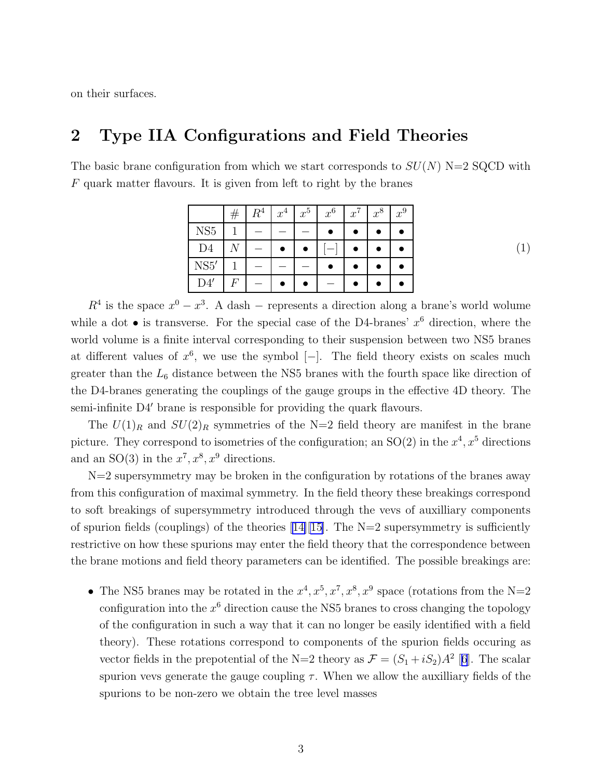on their surfaces.

### 2 Type IIA Configurations and Field Theories

The basic brane configuration from which we start corresponds to  $SU(N)$  N=2 SQCD with F quark matter flavours. It is given from left to right by the branes

|                 | # | $R^4$ | $x^4$ | $x^5$ | $x^6$ | $x^7$ | $x^8$ | $x^9$ |
|-----------------|---|-------|-------|-------|-------|-------|-------|-------|
| NS <sub>5</sub> |   |       |       |       |       |       |       |       |
| D <sub>4</sub>  | N |       |       |       |       |       |       |       |
| NS5'            |   |       |       |       |       |       |       |       |
| D4'             | F |       |       |       |       |       |       |       |

(1)

 $R<sup>4</sup>$  is the space  $x<sup>0</sup> - x<sup>3</sup>$ . A dash – represents a direction along a brane's world wolume while a dot  $\bullet$  is transverse. For the special case of the D4-branes'  $x^6$  direction, where the world volume is a finite interval corresponding to their suspension between two NS5 branes at different values of  $x^6$ , we use the symbol  $[-]$ . The field theory exists on scales much greater than the  $L_6$  distance between the NS5 branes with the fourth space like direction of the D4-branes generating the couplings of the gauge groups in the effective 4D theory. The semi-infinite D4′ brane is responsible for providing the quark flavours.

The  $U(1)_R$  and  $SU(2)_R$  symmetries of the N=2 field theory are manifest in the brane picture. They correspond to isometries of the configuration; an  $SO(2)$  in the  $x^4, x^5$  directions and an SO(3) in the  $x^7, x^8, x^9$  directions.

 $N=2$  supersymmetry may be broken in the configuration by rotations of the branes away from this configuration of maximal symmetry. In the field theory these breakings correspond to soft breakings of supersymmetry introduced through the vevs of auxilliary components ofspurion fields (couplings) of the theories  $[14][15]$  $[14][15]$ . The N=2 supersymmetry is sufficiently restrictive on how these spurions may enter the field theory that the correspondence between the brane motions and field theory parameters can be identified. The possible breakings are:

• The NS5 branes may be rotated in the  $x^4, x^5, x^7, x^8, x^9$  space (rotations from the N=2 configuration into the  $x^6$  direction cause the NS5 branes to cross changing the topology of the configuration in such a way that it can no longer be easily identified with a field theory). These rotations correspond to components of the spurion fields occuring as vector fields in the prepotential of the N=2 theory as  $\mathcal{F} = (S_1 + iS_2)A^2$  [[6](#page-12-0)]. The scalar spurion vevs generate the gauge coupling  $\tau$ . When we allow the auxilliary fields of the spurions to be non-zero we obtain the tree level masses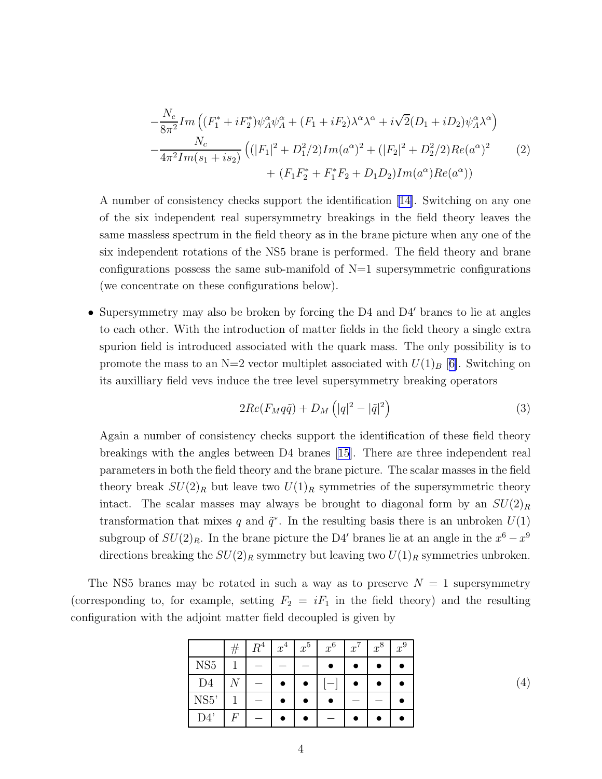$$
-\frac{N_c}{8\pi^2} Im\left((F_1^* + iF_2^*)\psi_A^{\alpha}\psi_A^{\alpha} + (F_1 + iF_2)\lambda^{\alpha}\lambda^{\alpha} + i\sqrt{2}(D_1 + iD_2)\psi_A^{\alpha}\lambda^{\alpha}\right) -\frac{N_c}{4\pi^2 Im(s_1 + is_2)}\left((|F_1|^2 + D_1^2/2)Im(a^{\alpha})^2 + (|F_2|^2 + D_2^2/2)Re(a^{\alpha})^2 + (F_1F_2^* + F_1^*F_2 + D_1D_2)Im(a^{\alpha})Re(a^{\alpha})\right)
$$
(2)

A number of consistency checks support the identification [\[14\]](#page-13-0). Switching on any one of the six independent real supersymmetry breakings in the field theory leaves the same massless spectrum in the field theory as in the brane picture when any one of the six independent rotations of the NS5 brane is performed. The field theory and brane configurations possess the same sub-manifold of  $N=1$  supersymmetric configurations (we concentrate on these configurations below).

• Supersymmetry may also be broken by forcing the D4 and D4' branes to lie at angles to each other. With the introduction of matter fields in the field theory a single extra spurion field is introduced associated with the quark mass. The only possibility is to promote the mass to an N=2 vector multiplet associated with  $U(1)_B$  [[6\]](#page-12-0). Switching on its auxilliary field vevs induce the tree level supersymmetry breaking operators

$$
2Re(F_M q\tilde{q}) + D_M\left(|q|^2 - |\tilde{q}|^2\right) \tag{3}
$$

Again a number of consistency checks support the identification of these field theory breakings with the angles between D4 branes [\[15\]](#page-13-0). There are three independent real parameters in both the field theory and the brane picture. The scalar masses in the field theory break  $SU(2)_R$  but leave two  $U(1)_R$  symmetries of the supersymmetric theory intact. The scalar masses may always be brought to diagonal form by an  $SU(2)_R$ transformation that mixes q and  $\tilde{q}^*$ . In the resulting basis there is an unbroken  $U(1)$ subgroup of  $SU(2)_R$ . In the brane picture the D4' branes lie at an angle in the  $x^6 - x^9$ directions breaking the  $SU(2)_R$  symmetry but leaving two  $U(1)_R$  symmetries unbroken.

The NS5 branes may be rotated in such a way as to preserve  $N = 1$  supersymmetry (corresponding to, for example, setting  $F_2 = iF_1$  in the field theory) and the resulting configuration with the adjoint matter field decoupled is given by

|                 | $\#$ | $R^4$ | $x^4$ | $x^5$ | $x^6$ | $x^7$ | $x^8$ | $x^9$ |
|-----------------|------|-------|-------|-------|-------|-------|-------|-------|
| NS <sub>5</sub> |      |       |       |       |       |       |       |       |
| D <sub>4</sub>  |      |       |       |       |       |       |       |       |
| NS5'            |      |       |       |       |       |       |       |       |
| D4'             | F    |       |       |       |       |       |       |       |

(4)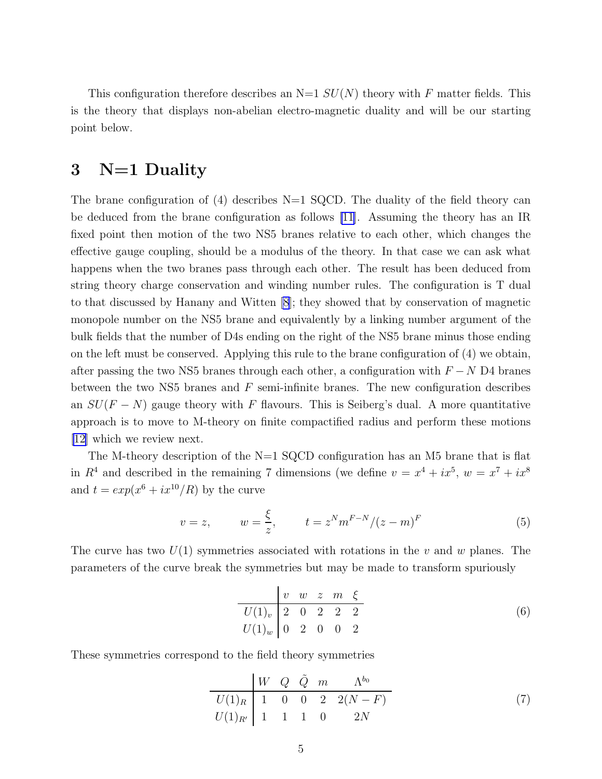This configuration therefore describes an  $N=1$   $SU(N)$  theory with F matter fields. This is the theory that displays non-abelian electro-magnetic duality and will be our starting point below.

#### 3 N=1 Duality

The brane configuration of (4) describes  $N=1$  SQCD. The duality of the field theory can be deduced from the brane configuration as follows [\[11](#page-13-0)]. Assuming the theory has an IR fixed point then motion of the two NS5 branes relative to each other, which changes the effective gauge coupling, should be a modulus of the theory. In that case we can ask what happens when the two branes pass through each other. The result has been deduced from string theory charge conservation and winding number rules. The configuration is T dual to that discussed by Hanany and Witten [\[8](#page-13-0)]; they showed that by conservation of magnetic monopole number on the NS5 brane and equivalently by a linking number argument of the bulk fields that the number of D4s ending on the right of the NS5 brane minus those ending on the left must be conserved. Applying this rule to the brane configuration of (4) we obtain, after passing the two NS5 branes through each other, a configuration with  $F - N D4$  branes between the two NS5 branes and  $F$  semi-infinite branes. The new configuration describes an  $SU(F - N)$  gauge theory with F flavours. This is Seiberg's dual. A more quantitative approach is to move to M-theory on finite compactified radius and perform these motions [\[12\]](#page-13-0) which we review next.

The M-theory description of the  $N=1$  SQCD configuration has an M5 brane that is flat in  $R^4$  and described in the remaining 7 dimensions (we define  $v = x^4 + ix^5$ ,  $w = x^7 + ix^8$ and  $t = exp(x^6 + ix^{10}/R)$  by the curve

$$
v = z,
$$
  $w = \frac{\xi}{z},$   $t = z^N m^{F-N} / (z - m)^F$  (5)

The curve has two  $U(1)$  symmetries associated with rotations in the v and w planes. The parameters of the curve break the symmetries but may be made to transform spuriously

$$
\begin{array}{c|cccc}\n & v & w & z & m & \xi \\
\hline U(1)_v & 2 & 0 & 2 & 2 & 2 \\
\hline U(1)_w & 0 & 2 & 0 & 0 & 2\n\end{array} \tag{6}
$$

These symmetries correspond to the field theory symmetries

 $\overline{a}$ 

$$
\begin{array}{c|cccc}\n & W & Q & \tilde{Q} & m & \Lambda^{b_0} \\
\hline\nU(1)_R & 1 & 0 & 0 & 2 & 2(N-F) \\
U(1)_{R'} & 1 & 1 & 1 & 0 & 2N\n\end{array} \tag{7}
$$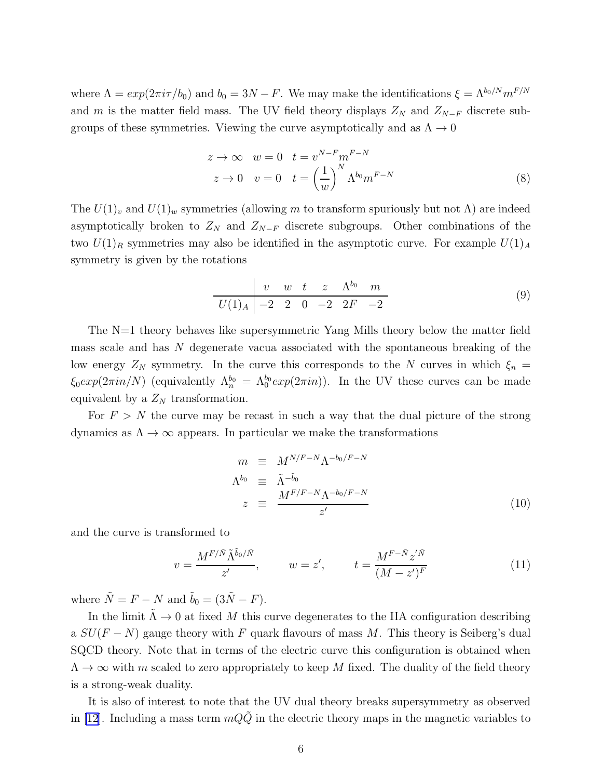where  $\Lambda = exp(2\pi i \tau/b_0)$  and  $b_0 = 3N - F$ . We may make the identifications  $\xi = \Lambda^{b_0/N} m^{F/N}$ and m is the matter field mass. The UV field theory displays  $Z_N$  and  $Z_{N-F}$  discrete subgroups of these symmetries. Viewing the curve asymptotically and as  $\Lambda \to 0$ 

$$
z \to \infty \quad w = 0 \quad t = v^{N-F} m^{F-N}
$$
  

$$
z \to 0 \quad v = 0 \quad t = \left(\frac{1}{w}\right)^N \Lambda^{b_0} m^{F-N}
$$
 (8)

The  $U(1)_v$  and  $U(1)_w$  symmetries (allowing m to transform spuriously but not  $\Lambda$ ) are indeed asymptotically broken to  $Z_N$  and  $Z_{N-F}$  discrete subgroups. Other combinations of the two  $U(1)_R$  symmetries may also be identified in the asymptotic curve. For example  $U(1)_A$ symmetry is given by the rotations

$$
\begin{array}{c|cccc}\n & v & w & t & z & \Lambda^{b_0} & m \\
\hline\nU(1)_A & -2 & 2 & 0 & -2 & 2F & -2\n\end{array}
$$
\n(9)

The N=1 theory behaves like supersymmetric Yang Mills theory below the matter field mass scale and has N degenerate vacua associated with the spontaneous breaking of the low energy  $Z_N$  symmetry. In the curve this corresponds to the N curves in which  $\xi_n =$  $\xi_0 exp(2\pi i n/N)$  (equivalently  $\Lambda_n^{b_0} = \Lambda_0^{b_0} exp(2\pi i n)$ ). In the UV these curves can be made equivalent by a  $Z_N$  transformation.

For  $F > N$  the curve may be recast in such a way that the dual picture of the strong dynamics as  $\Lambda \to \infty$  appears. In particular we make the transformations

$$
m \equiv M^{N/F-N} \Lambda^{-b_0/F-N}
$$
  
\n
$$
\Lambda^{b_0} \equiv \tilde{\Lambda}^{-\tilde{b}_0}
$$
  
\n
$$
z \equiv \frac{M^{F/F-N} \Lambda^{-b_0/F-N}}{z'}
$$
\n(10)

and the curve is transformed to

$$
v = \frac{M^{F/\tilde{N}}\tilde{\Lambda}^{\tilde{b}_0/\tilde{N}}}{z'}, \qquad w = z', \qquad t = \frac{M^{F-\tilde{N}}z^{\prime\tilde{N}}}{(M-z^{\prime})^F}
$$
(11)

where  $\tilde{N} = F - N$  and  $\tilde{b}_0 = (3\tilde{N} - F)$ .

In the limit  $\tilde{\Lambda} \to 0$  at fixed M this curve degenerates to the IIA configuration describing a  $SU(F - N)$  gauge theory with F quark flavours of mass M. This theory is Seiberg's dual SQCD theory. Note that in terms of the electric curve this configuration is obtained when  $\Lambda \to \infty$  with m scaled to zero appropriately to keep M fixed. The duality of the field theory is a strong-weak duality.

It is also of interest to note that the UV dual theory breaks supersymmetry as observed in [\[12](#page-13-0)]. Including a mass term  $mQ\tilde{Q}$  in the electric theory maps in the magnetic variables to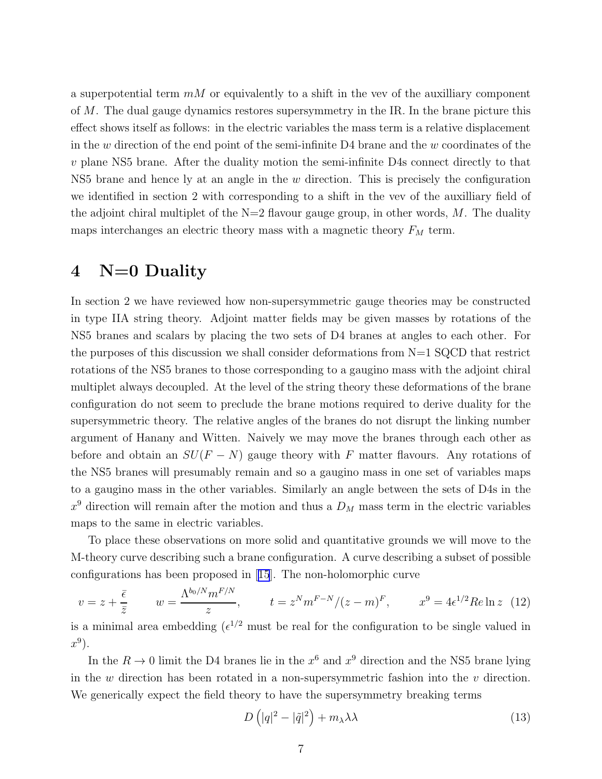a superpotential term  $mM$  or equivalently to a shift in the vev of the auxilliary component of M. The dual gauge dynamics restores supersymmetry in the IR. In the brane picture this effect shows itself as follows: in the electric variables the mass term is a relative displacement in the w direction of the end point of the semi-infinite  $D4$  brane and the w coordinates of the v plane NS5 brane. After the duality motion the semi-infinite D4s connect directly to that NS5 brane and hence ly at an angle in the  $w$  direction. This is precisely the configuration we identified in section 2 with corresponding to a shift in the vev of the auxilliary field of the adjoint chiral multiplet of the  $N=2$  flavour gauge group, in other words, M. The duality maps interchanges an electric theory mass with a magnetic theory  ${\cal F}_{M}$  term.

### 4 N=0 Duality

In section 2 we have reviewed how non-supersymmetric gauge theories may be constructed in type IIA string theory. Adjoint matter fields may be given masses by rotations of the NS5 branes and scalars by placing the two sets of D4 branes at angles to each other. For the purposes of this discussion we shall consider deformations from  $N=1$  SQCD that restrict rotations of the NS5 branes to those corresponding to a gaugino mass with the adjoint chiral multiplet always decoupled. At the level of the string theory these deformations of the brane configuration do not seem to preclude the brane motions required to derive duality for the supersymmetric theory. The relative angles of the branes do not disrupt the linking number argument of Hanany and Witten. Naively we may move the branes through each other as before and obtain an  $SU(F - N)$  gauge theory with F matter flavours. Any rotations of the NS5 branes will presumably remain and so a gaugino mass in one set of variables maps to a gaugino mass in the other variables. Similarly an angle between the sets of D4s in the  $x^9$  direction will remain after the motion and thus a  $D_M$  mass term in the electric variables maps to the same in electric variables.

To place these observations on more solid and quantitative grounds we will move to the M-theory curve describing such a brane configuration. A curve describing a subset of possible configurations has been proposed in[[15](#page-13-0)]. The non-holomorphic curve

$$
v = z + \frac{\bar{\epsilon}}{\bar{z}}
$$
  $w = \frac{\Lambda^{b_0/N} m^{F/N}}{z}$ ,  $t = z^N m^{F-N} / (z - m)^F$ ,  $x^9 = 4\epsilon^{1/2} Re \ln z$  (12)

is a minimal area embedding  $({\epsilon}^{1/2}$  must be real for the configuration to be single valued in  $x^9$ ).

In the  $R \to 0$  limit the D4 branes lie in the  $x^6$  and  $x^9$  direction and the NS5 brane lying in the  $w$  direction has been rotated in a non-supersymmetric fashion into the  $v$  direction. We generically expect the field theory to have the supersymmetry breaking terms

$$
D\left(|q|^2 - |\tilde{q}|^2\right) + m_\lambda \lambda \lambda \tag{13}
$$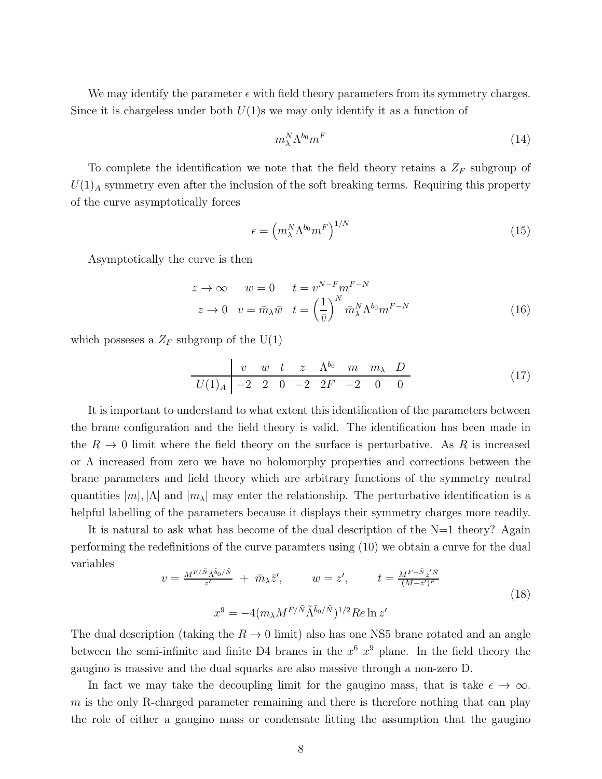We may identify the parameter  $\epsilon$  with field theory parameters from its symmetry charges. Since it is chargeless under both  $U(1)$ s we may only identify it as a function of

$$
m_{\lambda}^{N} \Lambda^{b_0} m^F \tag{14}
$$

To complete the identification we note that the field theory retains a  $Z_F$  subgroup of  $U(1)$ <sub>A</sub> symmetry even after the inclusion of the soft breaking terms. Requiring this property of the curve asymptotically forces

$$
\epsilon = \left( m_{\lambda}^N \Lambda^{b_0} m^F \right)^{1/N} \tag{15}
$$

Asymptotically the curve is then

$$
z \to \infty \qquad w = 0 \qquad t = v^{N-F} m^{F-N}
$$

$$
z \to 0 \quad v = \bar{m}_{\lambda} \bar{w} \quad t = \left(\frac{1}{\bar{v}}\right)^N \bar{m}_{\lambda}^N \Lambda^{b_0} m^{F-N} \tag{16}
$$

which posseses a  $Z_F$  subgroup of the  $U(1)$ 

$$
\begin{array}{c|ccccccccc}\n & v & w & t & z & \Lambda^{b_0} & m & m_\lambda & D \\
\hline\nU(1)_A & -2 & 2 & 0 & -2 & 2F & -2 & 0 & 0\n\end{array}
$$
\n(17)

It is important to understand to what extent this identification of the parameters between the brane configuration and the field theory is valid. The identification has been made in the  $R \to 0$  limit where the field theory on the surface is perturbative. As R is increased or Λ increased from zero we have no holomorphy properties and corrections between the brane parameters and field theory which are arbitrary functions of the symmetry neutral quantities  $|m|, |\Lambda|$  and  $|m_{\lambda}|$  may enter the relationship. The perturbative identification is a helpful labelling of the parameters because it displays their symmetry charges more readily.

It is natural to ask what has become of the dual description of the  $N=1$  theory? Again performing the redefinitions of the curve paramters using (10) we obtain a curve for the dual variables

$$
v = \frac{M^{F/\tilde{N}}\tilde{\Lambda}^{\tilde{b}_0/\tilde{N}}}{z'} + \bar{m}_{\lambda}\bar{z}', \qquad w = z', \qquad t = \frac{M^{F-\tilde{N}}z'^{\tilde{N}}}{(M-z')^F}
$$
  

$$
x^9 = -4(m_{\lambda}M^{F/\tilde{N}}\tilde{\Lambda}^{\tilde{b}_0/\tilde{N}})^{1/2}Re \ln z'
$$
 (18)

The dual description (taking the  $R \to 0$  limit) also has one NS5 brane rotated and an angle between the semi-infinite and finite D4 branes in the  $x^6$   $x^9$  plane. In the field theory the gaugino is massive and the dual squarks are also massive through a non-zero D.

In fact we may take the decoupling limit for the gaugino mass, that is take  $\epsilon \to \infty$ .  $m$  is the only R-charged parameter remaining and there is therefore nothing that can play the role of either a gaugino mass or condensate fitting the assumption that the gaugino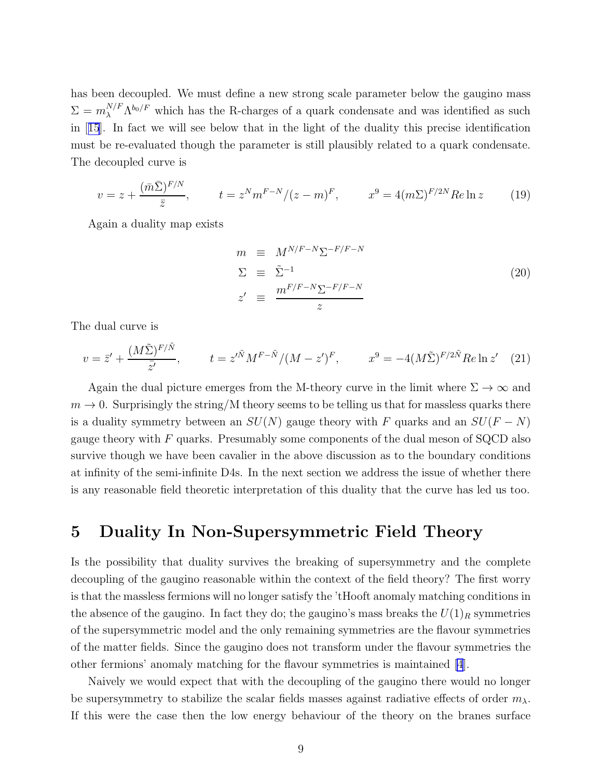has been decoupled. We must define a new strong scale parameter below the gaugino mass  $\Sigma = m_{\lambda}^{N/F} \Lambda^{b_0/F}$  which has the R-charges of a quark condensate and was identified as such in[[15](#page-13-0)]. In fact we will see below that in the light of the duality this precise identification must be re-evaluated though the parameter is still plausibly related to a quark condensate. The decoupled curve is

$$
v = z + \frac{(\bar{m}\bar{\Sigma})^{F/N}}{\bar{z}}, \qquad t = z^N m^{F-N} / (z - m)^F, \qquad x^9 = 4(m\Sigma)^{F/2N} Re \ln z \qquad (19)
$$

Again a duality map exists

$$
m \equiv M^{N/F-N} \Sigma^{-F/F-N}
$$
  
\n
$$
\Sigma \equiv \tilde{\Sigma}^{-1}
$$
  
\n
$$
z' \equiv \frac{m^{F/F-N} \Sigma^{-F/F-N}}{z}
$$
\n(20)

The dual curve is

$$
v = \bar{z}' + \frac{(M\tilde{\Sigma})^{F/\tilde{N}}}{\bar{z}'} , \qquad t = z'^{\tilde{N}} M^{F-\tilde{N}} / (M - z')^F , \qquad x^9 = -4(M\tilde{\Sigma})^{F/2\tilde{N}} Re \ln z' \quad (21)
$$

Again the dual picture emerges from the M-theory curve in the limit where  $\Sigma \to \infty$  and  $m \to 0$ . Surprisingly the string/M theory seems to be telling us that for massless quarks there is a duality symmetry between an  $SU(N)$  gauge theory with F quarks and an  $SU(F - N)$ gauge theory with  $F$  quarks. Presumably some components of the dual meson of SQCD also survive though we have been cavalier in the above discussion as to the boundary conditions at infinity of the semi-infinite D4s. In the next section we address the issue of whether there is any reasonable field theoretic interpretation of this duality that the curve has led us too.

## 5 Duality In Non-Supersymmetric Field Theory

Is the possibility that duality survives the breaking of supersymmetry and the complete decoupling of the gaugino reasonable within the context of the field theory? The first worry is that the massless fermions will no longer satisfy the 'tHooft anomaly matching conditions in the absence of the gaugino. In fact they do; the gaugino's mass breaks the  $U(1)_R$  symmetries of the supersymmetric model and the only remaining symmetries are the flavour symmetries of the matter fields. Since the gaugino does not transform under the flavour symmetries the other fermions' anomaly matching for the flavour symmetries is maintained [\[4](#page-12-0)].

Naively we would expect that with the decoupling of the gaugino there would no longer be supersymmetry to stabilize the scalar fields masses against radiative effects of order  $m_{\lambda}$ . If this were the case then the low energy behaviour of the theory on the branes surface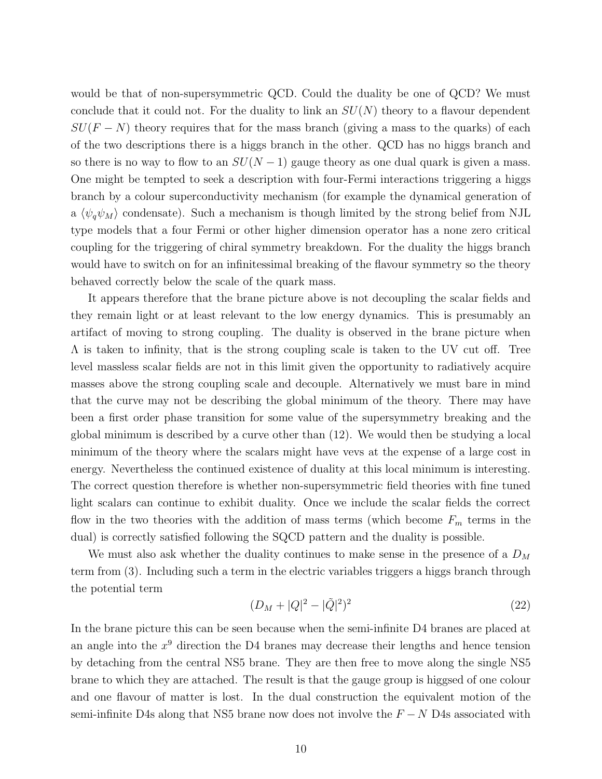would be that of non-supersymmetric QCD. Could the duality be one of QCD? We must conclude that it could not. For the duality to link an  $SU(N)$  theory to a flavour dependent  $SU(F-N)$  theory requires that for the mass branch (giving a mass to the quarks) of each of the two descriptions there is a higgs branch in the other. QCD has no higgs branch and so there is no way to flow to an  $SU(N-1)$  gauge theory as one dual quark is given a mass. One might be tempted to seek a description with four-Fermi interactions triggering a higgs branch by a colour superconductivity mechanism (for example the dynamical generation of a  $\langle \psi_q \psi_M \rangle$  condensate). Such a mechanism is though limited by the strong belief from NJL type models that a four Fermi or other higher dimension operator has a none zero critical coupling for the triggering of chiral symmetry breakdown. For the duality the higgs branch would have to switch on for an infinitessimal breaking of the flavour symmetry so the theory behaved correctly below the scale of the quark mass.

It appears therefore that the brane picture above is not decoupling the scalar fields and they remain light or at least relevant to the low energy dynamics. This is presumably an artifact of moving to strong coupling. The duality is observed in the brane picture when Λ is taken to infinity, that is the strong coupling scale is taken to the UV cut off. Tree level massless scalar fields are not in this limit given the opportunity to radiatively acquire masses above the strong coupling scale and decouple. Alternatively we must bare in mind that the curve may not be describing the global minimum of the theory. There may have been a first order phase transition for some value of the supersymmetry breaking and the global minimum is described by a curve other than (12). We would then be studying a local minimum of the theory where the scalars might have vevs at the expense of a large cost in energy. Nevertheless the continued existence of duality at this local minimum is interesting. The correct question therefore is whether non-supersymmetric field theories with fine tuned light scalars can continue to exhibit duality. Once we include the scalar fields the correct flow in the two theories with the addition of mass terms (which become  $F_m$  terms in the dual) is correctly satisfied following the SQCD pattern and the duality is possible.

We must also ask whether the duality continues to make sense in the presence of a  $D_M$ term from (3). Including such a term in the electric variables triggers a higgs branch through the potential term

$$
(D_M + |Q|^2 - |\tilde{Q}|^2)^2 \tag{22}
$$

In the brane picture this can be seen because when the semi-infinite D4 branes are placed at an angle into the  $x^9$  direction the D4 branes may decrease their lengths and hence tension by detaching from the central NS5 brane. They are then free to move along the single NS5 brane to which they are attached. The result is that the gauge group is higgsed of one colour and one flavour of matter is lost. In the dual construction the equivalent motion of the semi-infinite D4s along that NS5 brane now does not involve the  $F - N$  D4s associated with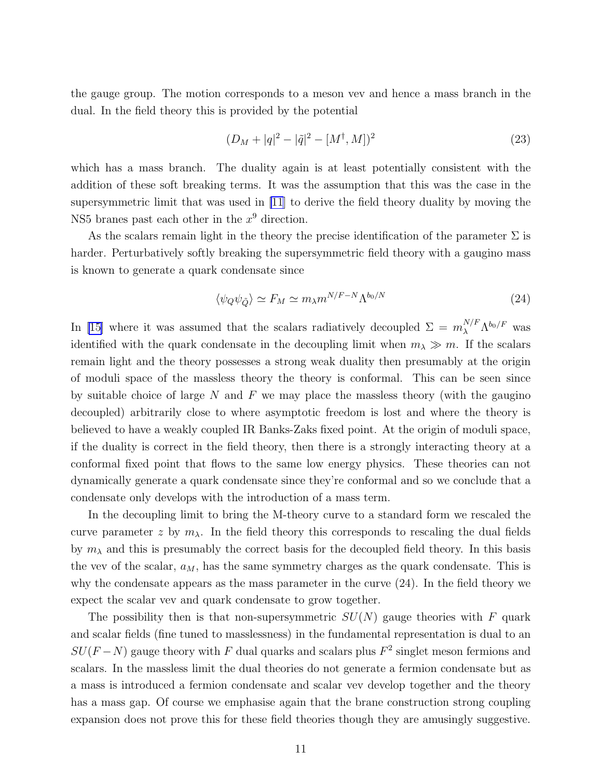the gauge group. The motion corresponds to a meson vev and hence a mass branch in the dual. In the field theory this is provided by the potential

$$
(D_M + |q|^2 - |\tilde{q}|^2 - [M^{\dagger}, M])^2
$$
\n(23)

which has a mass branch. The duality again is at least potentially consistent with the addition of these soft breaking terms. It was the assumption that this was the case in the supersymmetric limit that was used in [\[11](#page-13-0)] to derive the field theory duality by moving the NS5 branes past each other in the  $x^9$  direction.

As the scalars remain light in the theory the precise identification of the parameter  $\Sigma$  is harder. Perturbatively softly breaking the supersymmetric field theory with a gaugino mass is known to generate a quark condensate since

$$
\langle \psi_Q \psi_{\tilde{Q}} \rangle \simeq F_M \simeq m_\lambda m^{N/F-N} \Lambda^{b_0/N} \tag{24}
$$

In [\[15\]](#page-13-0) where it was assumed that the scalars radiatively decoupled  $\Sigma = m_{\lambda}^{N/F} \Lambda^{b_0/F}$  was identified with the quark condensate in the decoupling limit when  $m_\lambda \gg m$ . If the scalars remain light and the theory possesses a strong weak duality then presumably at the origin of moduli space of the massless theory the theory is conformal. This can be seen since by suitable choice of large  $N$  and  $F$  we may place the massless theory (with the gaugino decoupled) arbitrarily close to where asymptotic freedom is lost and where the theory is believed to have a weakly coupled IR Banks-Zaks fixed point. At the origin of moduli space, if the duality is correct in the field theory, then there is a strongly interacting theory at a conformal fixed point that flows to the same low energy physics. These theories can not dynamically generate a quark condensate since they're conformal and so we conclude that a condensate only develops with the introduction of a mass term.

In the decoupling limit to bring the M-theory curve to a standard form we rescaled the curve parameter z by  $m_{\lambda}$ . In the field theory this corresponds to rescaling the dual fields by  $m<sub>\lambda</sub>$  and this is presumably the correct basis for the decoupled field theory. In this basis the vev of the scalar,  $a_M$ , has the same symmetry charges as the quark condensate. This is why the condensate appears as the mass parameter in the curve (24). In the field theory we expect the scalar vev and quark condensate to grow together.

The possibility then is that non-supersymmetric  $SU(N)$  gauge theories with F quark and scalar fields (fine tuned to masslessness) in the fundamental representation is dual to an  $SU(F-N)$  gauge theory with F dual quarks and scalars plus  $F^2$  singlet meson fermions and scalars. In the massless limit the dual theories do not generate a fermion condensate but as a mass is introduced a fermion condensate and scalar vev develop together and the theory has a mass gap. Of course we emphasise again that the brane construction strong coupling expansion does not prove this for these field theories though they are amusingly suggestive.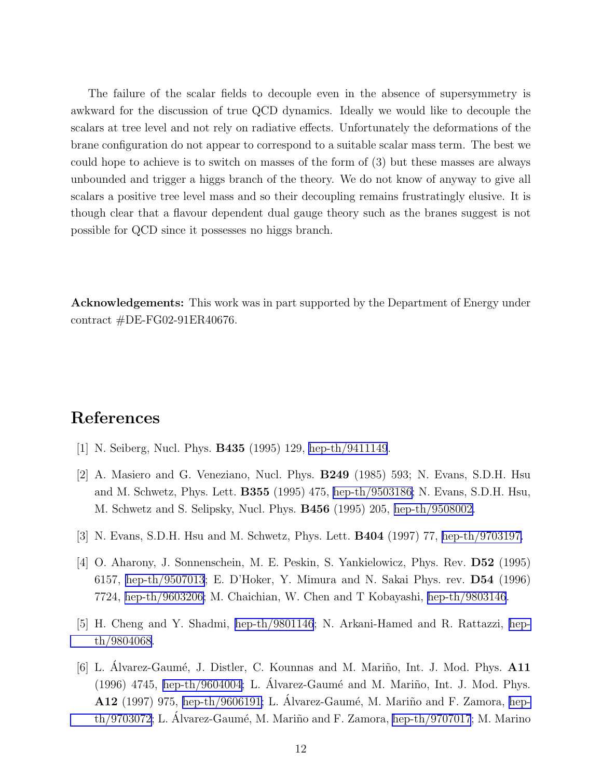<span id="page-12-0"></span>The failure of the scalar fields to decouple even in the absence of supersymmetry is awkward for the discussion of true QCD dynamics. Ideally we would like to decouple the scalars at tree level and not rely on radiative effects. Unfortunately the deformations of the brane configuration do not appear to correspond to a suitable scalar mass term. The best we could hope to achieve is to switch on masses of the form of (3) but these masses are always unbounded and trigger a higgs branch of the theory. We do not know of anyway to give all scalars a positive tree level mass and so their decoupling remains frustratingly elusive. It is though clear that a flavour dependent dual gauge theory such as the branes suggest is not possible for QCD since it possesses no higgs branch.

Acknowledgements: This work was in part supported by the Department of Energy under contract #DE-FG02-91ER40676.

# References

- [1] N. Seiberg, Nucl. Phys. B435 (1995) 129, [hep-th/9411149](http://arxiv.org/abs/hep-th/9411149).
- [2] A. Masiero and G. Veneziano, Nucl. Phys. B249 (1985) 593; N. Evans, S.D.H. Hsu and M. Schwetz, Phys. Lett. B355 (1995) 475, [hep-th/9503186](http://arxiv.org/abs/hep-th/9503186); N. Evans, S.D.H. Hsu, M. Schwetz and S. Selipsky, Nucl. Phys. B456 (1995) 205, [hep-th/9508002.](http://arxiv.org/abs/hep-th/9508002)
- [3] N. Evans, S.D.H. Hsu and M. Schwetz, Phys. Lett. B404 (1997) 77, [hep-th/9703197.](http://arxiv.org/abs/hep-th/9703197)
- [4] O. Aharony, J. Sonnenschein, M. E. Peskin, S. Yankielowicz, Phys. Rev. D52 (1995) 6157, [hep-th/9507013](http://arxiv.org/abs/hep-th/9507013); E. D'Hoker, Y. Mimura and N. Sakai Phys. rev. D54 (1996) 7724, [hep-th/9603206;](http://arxiv.org/abs/hep-th/9603206) M. Chaichian, W. Chen and T Kobayashi, [hep-th/9803146](http://arxiv.org/abs/hep-th/9803146).
- [5] H. Cheng and Y. Shadmi, [hep-th/9801146](http://arxiv.org/abs/hep-th/9801146); N. Arkani-Hamed and R. Rattazzi, [hep](http://arxiv.org/abs/hep-th/9804068)[th/9804068](http://arxiv.org/abs/hep-th/9804068).
- [6] L. Álvarez-Gaumé, J. Distler, C. Kounnas and M. Mariño, Int. J. Mod. Phys. A11  $(1996)$  4745, [hep-th/9604004;](http://arxiv.org/abs/hep-th/9604004) L. Álvarez-Gaumé and M. Mariño, Int. J. Mod. Phys. A12 (1997) 975, [hep-th/9606191;](http://arxiv.org/abs/hep-th/9606191) L. Álvarez-Gaumé, M. Mariño and F. Zamora, [hep](http://arxiv.org/abs/hep-th/9703072) [th/9703072](http://arxiv.org/abs/hep-th/9703072); L. Alvarez-Gaumé, M. Mariño and F. Zamora, [hep-th/9707017](http://arxiv.org/abs/hep-th/9707017); M. Marino